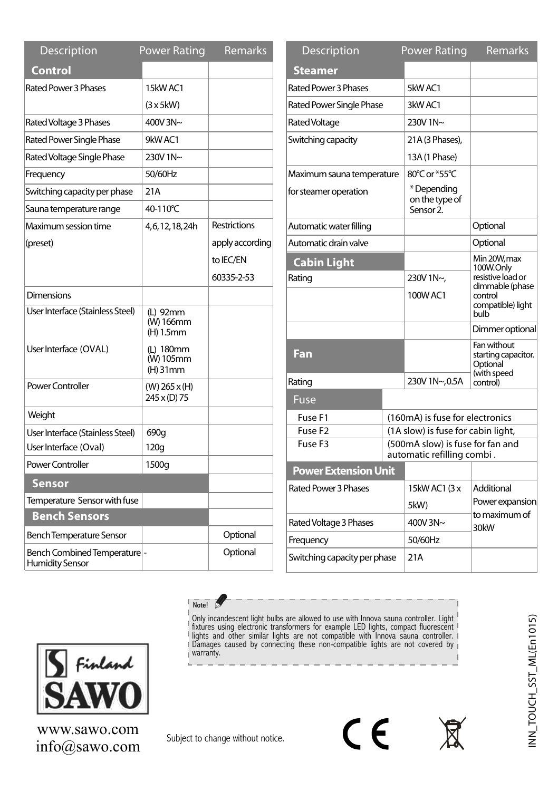| <b>Description</b>                                    | <b>Power Rating</b>                | <b>Remarks</b>      |
|-------------------------------------------------------|------------------------------------|---------------------|
| Control                                               |                                    |                     |
| Rated Power 3 Phases                                  | 15kW AC1                           |                     |
|                                                       | $(3 \times 5)$ kW)                 |                     |
| Rated Voltage 3 Phases                                | 400V 3N~                           |                     |
| <b>Rated Power Single Phase</b>                       | 9kW AC1                            |                     |
| Rated Voltage Single Phase                            | 230V 1N~                           |                     |
| Frequency                                             | 50/60Hz                            |                     |
| Switching capacity per phase                          | 21A                                |                     |
| Sauna temperature range                               | 40-110°C                           |                     |
| Maximum session time                                  | 4,6,12,18,24h                      | <b>Restrictions</b> |
| (preset)                                              |                                    | apply according     |
|                                                       |                                    | to IEC/EN           |
|                                                       |                                    | 60335-2-53          |
| Dimensions                                            |                                    |                     |
| User Interface (Stainless Steel)                      | (L) 92mm<br>(W) 166mm<br>(H) 1.5mm |                     |
| User Interface (OVAL)                                 | (L) 180mm<br>(W) 105mm<br>(H) 31mm |                     |
| Power Controller                                      | $(W)$ 265 x (H)<br>245 x (D) 75    |                     |
| Weight                                                |                                    |                     |
| User Interface (Stainless Steel)                      | 690g                               |                     |
| User Interface (Oval)                                 | 120g                               |                     |
| Power Controller                                      | 1500g                              |                     |
| Sensor                                                |                                    |                     |
| Temperature Sensor with fuse                          |                                    |                     |
| <b>Bench Sensors</b>                                  |                                    |                     |
| Bench Temperature Sensor                              |                                    | Optional            |
| Bench Combined Temperature-<br><b>Humidity Sensor</b> |                                    | Optional            |

| <b>Description</b>           | <b>Power Rating</b>                                   |                            | <b>Remarks</b>                                                |
|------------------------------|-------------------------------------------------------|----------------------------|---------------------------------------------------------------|
| Steamer                      |                                                       |                            |                                                               |
| Rated Power 3 Phases         | 5kW AC1                                               |                            |                                                               |
| Rated Power Single Phase     | 3kWAC1                                                |                            |                                                               |
| <b>Rated Voltage</b>         | 230V 1N~                                              |                            |                                                               |
| Switching capacity           | 21A (3 Phases),                                       |                            |                                                               |
|                              | 13A (1 Phase)                                         |                            |                                                               |
| Maximum sauna temperature    | 80°C or *55°C                                         |                            |                                                               |
| for steamer operation        | *Depending<br>on the type of<br>Sensor <sub>2</sub> . |                            |                                                               |
| Automatic water filling      |                                                       |                            | Optional                                                      |
| Automatic drain valve        |                                                       |                            | Optional                                                      |
| <b>Cabin Light</b>           |                                                       |                            | Min 20W, max<br>100W.Only                                     |
| Rating                       | 230V 1N~,                                             |                            | resistive load or<br>dimmable (phase                          |
|                              | 100W AC1                                              |                            | control<br>compatible) light<br>bulb                          |
|                              |                                                       |                            | Dimmer optional                                               |
| Fan                          |                                                       |                            | Fan without<br>starting capacitor.<br>Optional<br>(with speed |
| Rating                       | 230V 1N~,0.5A                                         |                            | control)                                                      |
| Fuse                         |                                                       |                            |                                                               |
| Fuse F1                      | (160mA) is fuse for electronics                       |                            |                                                               |
| Fuse F <sub>2</sub>          | (1A slow) is fuse for cabin light,                    |                            |                                                               |
| Fuse F3                      |                                                       | automatic refilling combi. | (500mA slow) is fuse for fan and                              |
| <b>Power Extension Unit</b>  |                                                       |                            |                                                               |
| Rated Power 3 Phases         | 15kW AC1 (3 x                                         |                            | Additional                                                    |
|                              | 5kW)                                                  |                            | Power expansion<br>to maximum of                              |
| Rated Voltage 3 Phases       | 400V 3N~                                              |                            | 30kW                                                          |
| Frequency                    | 50/60Hz                                               |                            |                                                               |
| Switching capacity per phase | 21A                                                   |                            |                                                               |



info@sawo.com www.sawo.com

Subject to change without notice.

Note!

Ì

CE

Only incandescent light bulbs are allowed to use with Innova sauna controller. Light fixtures using electronic transformers for example LED lights, compact fluorescent lights and other similar lights are not compatible wit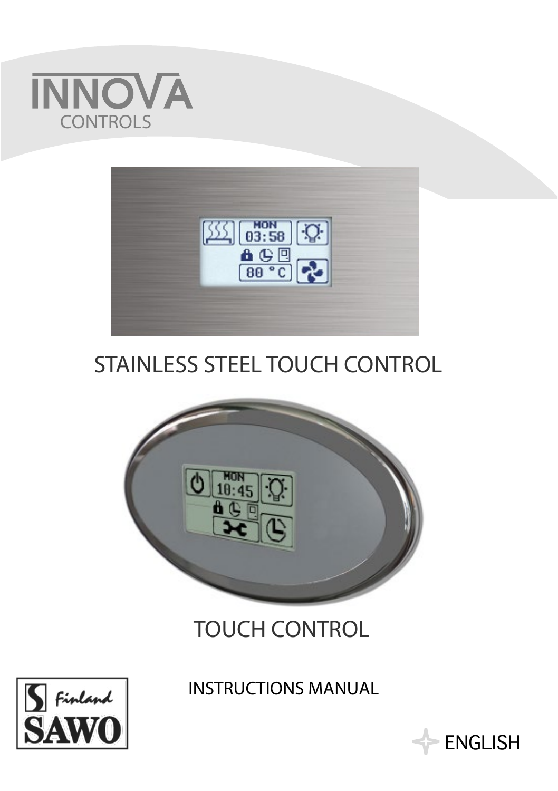



# STAINLESS STEEL TOUCH CONTROL



# TOUCH CONTROL



## INSTRUCTIONS MANUAL

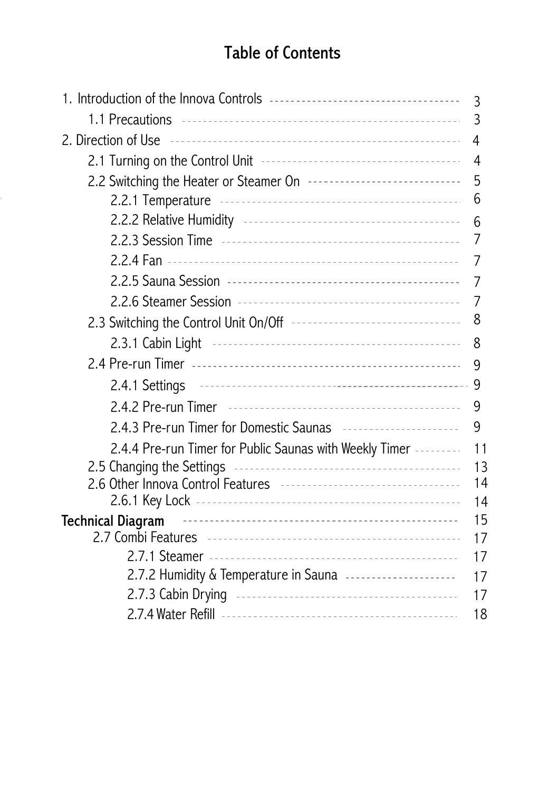## Table of Contents

|                                                                                                                                                                                                                                      | 3   |
|--------------------------------------------------------------------------------------------------------------------------------------------------------------------------------------------------------------------------------------|-----|
|                                                                                                                                                                                                                                      | 3   |
| 2. Direction of Use <b>continuous</b> contact the contract of the contract of the contract of the contract of the contract of the contract of the contract of the contract of the contract of the contract of the contract of the c  | 4   |
|                                                                                                                                                                                                                                      | - 4 |
| 2.2 Switching the Heater or Steamer On <b>Face Construes Construents</b>                                                                                                                                                             | 5   |
|                                                                                                                                                                                                                                      | 6   |
|                                                                                                                                                                                                                                      | 6   |
|                                                                                                                                                                                                                                      | 7   |
|                                                                                                                                                                                                                                      | 7   |
|                                                                                                                                                                                                                                      | 7   |
|                                                                                                                                                                                                                                      | 7   |
| 2.3 Switching the Control Unit On/Off --------------------------------                                                                                                                                                               | 8   |
|                                                                                                                                                                                                                                      | 8   |
|                                                                                                                                                                                                                                      | 9   |
|                                                                                                                                                                                                                                      |     |
|                                                                                                                                                                                                                                      | 9   |
|                                                                                                                                                                                                                                      | 9   |
| 2.4.4 Pre-run Timer for Public Saunas with Weekly Timer ---------                                                                                                                                                                    | 11  |
| 2.5 Changing the Settings                                                                                                                                                                                                            | 13  |
| 2.6 Other Innova Control Features -----------------------------------                                                                                                                                                                | 14  |
|                                                                                                                                                                                                                                      | 14  |
| Technical Diagram <b>contract to the Contract of Contract Contract Contract Contract Contract Contract Contract Contract Contract Contract Contract Contract Contract Contract Contract Contract Contract Contract Contract Cont</b> | 15  |
|                                                                                                                                                                                                                                      | 17  |
|                                                                                                                                                                                                                                      | 17  |
| 2.7.2 Humidity & Temperature in Sauna ---------------------                                                                                                                                                                          | 17  |
|                                                                                                                                                                                                                                      | 17  |
|                                                                                                                                                                                                                                      | 18  |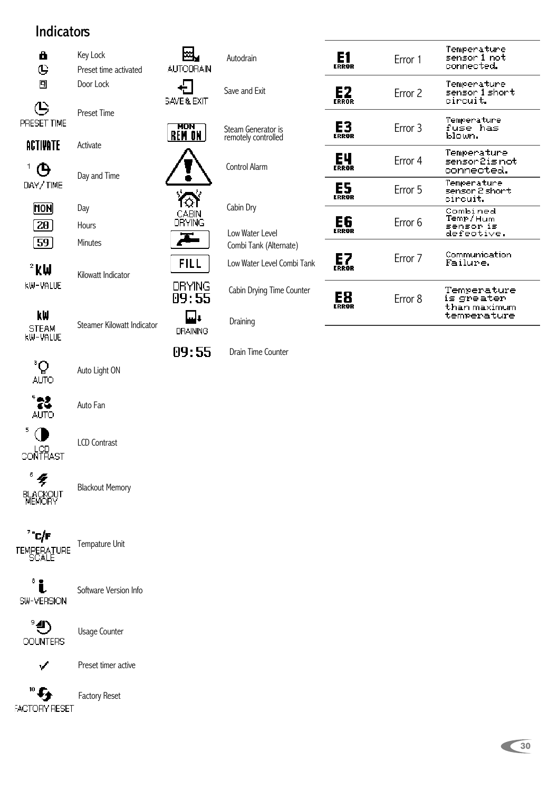#### **Indicators**



 $\bigcirc$ PRESET TIME

Preset Time Activate

**ACTIVATE** 

 $^+$   $\Theta$ DAY/TIME

Day and Time

**MON**  $\boxed{20}$  $\sqrt{59}$ 

Day Hours Minutes

 $2$  kW **KW-VALUE** 

Kilowatt Indicator

kW STEAM<br>KW-VALUE

Steamer Kilowatt Indicator

**DRAINING** 

09:55

 $^{\circ}Q$ <sub>AUTO</sub>

Auto Light ON



Auto Fan



LCD Contrast

 $\frac{1}{2}$ **BLACKOUT**<br>MEMORY

Blackout Memory



Tempature Unit

ំរំ SW-VERSION

Software Version Info

°⊕ COUNTERS

Usage Counter



Preset timer active

Factory Reset

 $^{\circ}$  G **FACTORY RESET** 



凨

**AUTODRAIN** 

Steam Generator is remotely controlled

Autodrain

Control Alarm

Cabin Dry

Low Water Level Combi Tank (Alternate)

Low Water Level Combi Tank

Cabin Drying Time Counter

Draining

Drain Time Counter

|             | Frror 1 | Temperature<br>sensor 1 not<br>connected.                |
|-------------|---------|----------------------------------------------------------|
| E2          | Frror 2 | Temperature<br>sensor 1 short<br>circuit.                |
| E3<br>FRRAR | Frror 3 | Temperature<br>fuse has<br>bloun.                        |
| EЧ<br>FRRAR | Error 4 | Temperature<br>sensor 2 is not<br>connected.             |
| ES<br>FRRAR | Frror 5 | Temperature<br>sensor 2 short<br>circuit.                |
| Е6<br>RRAR  | Frror 6 | Combined<br>Temp/Hum<br>sensor is<br>defective.          |
| E7          | Frror 7 | Communication<br>Failure.                                |
|             | Error 8 | Temperature<br>is greater<br>than maximum<br>temperature |

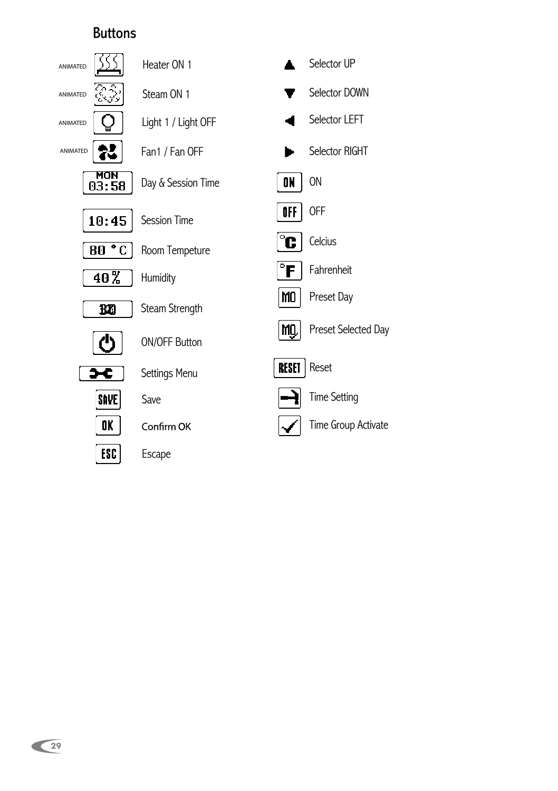#### Buttons

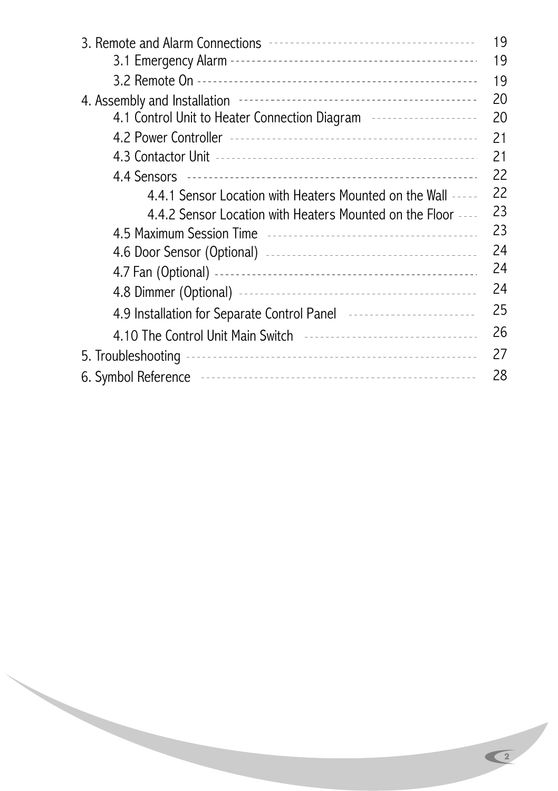|                                                                                                               | 19 |
|---------------------------------------------------------------------------------------------------------------|----|
|                                                                                                               | 19 |
|                                                                                                               | 19 |
| 4. Assembly and Installation <b>France Constructs</b> 2014 Assembly and Installation <b>France Constructs</b> | 20 |
| 4.1 Control Unit to Heater Connection Diagram                                                                 | 20 |
|                                                                                                               | 21 |
|                                                                                                               | 21 |
|                                                                                                               | 22 |
| 4.4.1 Sensor Location with Heaters Mounted on the Wall -----                                                  | 22 |
| 4.4.2 Sensor Location with Heaters Mounted on the Floor ----                                                  | 23 |
|                                                                                                               | 23 |
|                                                                                                               | 24 |
|                                                                                                               | 24 |
|                                                                                                               | 24 |
| 4.9 Installation for Separate Control Panel                                                                   | 25 |
| 4.10 The Control Unit Main Switch <b>Face Access 2018</b>                                                     | 26 |
|                                                                                                               | 27 |
|                                                                                                               | 28 |

 $\overline{}$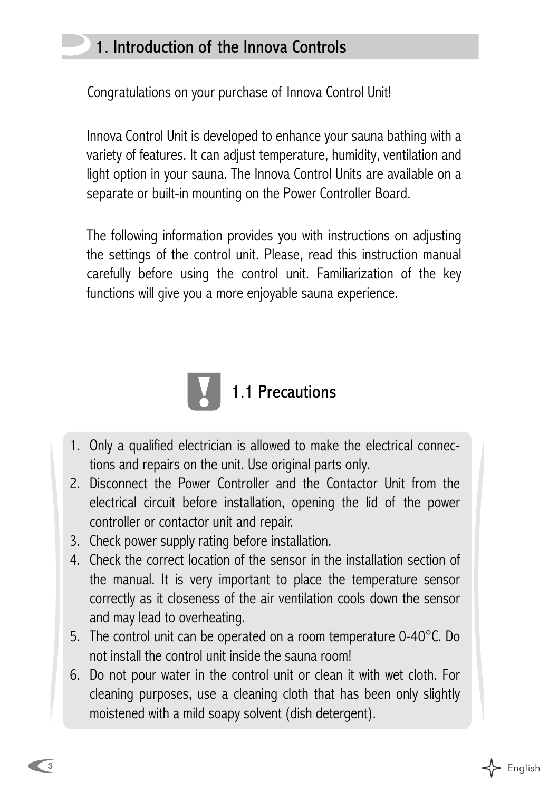## 1. Introduction of the Innova Controls

Congratulations on your purchase of Innova Control Unit!

Innova Control Unit is developed to enhance your sauna bathing with a variety of features. It can adjust temperature, humidity, ventilation and light option in your sauna. The Innova Control Units are available on a separate or built-in mounting on the Power Controller Board.

The following information provides you with instructions on adjusting the settings of the control unit. Please, read this instruction manual carefully before using the control unit. Familiarization of the key functions will give you a more enjoyable sauna experience.



- 1. Only a qualified electrician is allowed to make the electrical connections and repairs on the unit. Use original parts only.
- 2. Disconnect the Power Controller and the Contactor Unit from the electrical circuit before installation, opening the lid of the power controller or contactor unit and repair.
- 3. Check power supply rating before installation.
- 4. Check the correct location of the sensor in the installation section of the manual. It is very important to place the temperature sensor correctly as it closeness of the air ventilation cools down the sensor and may lead to overheating.
- 5. The control unit can be operated on a room temperature 0-40°C. Do not install the control unit inside the sauna room!
- 6. Do not pour water in the control unit or clean it with wet cloth. For cleaning purposes, use a cleaning cloth that has been only slightly moistened with a mild soapy solvent (dish detergent).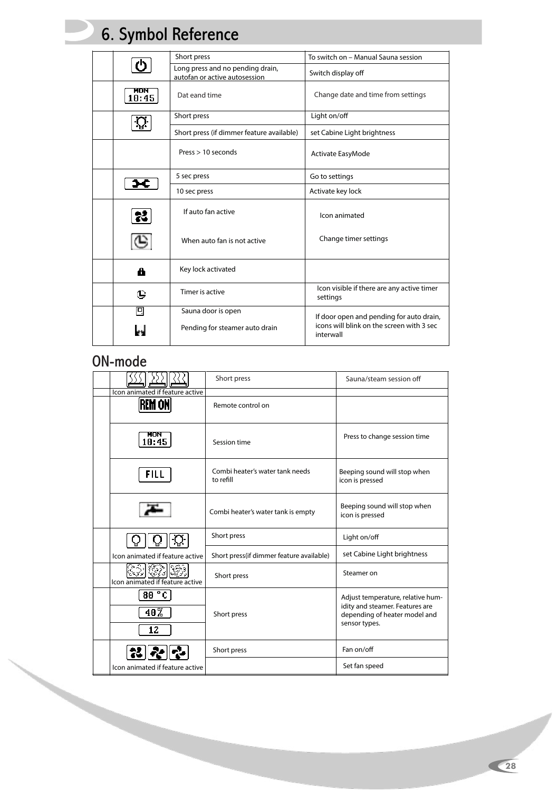## 6. Symbol Reference

|              | Short press                                                       | To switch on - Manual Sauna session                    |
|--------------|-------------------------------------------------------------------|--------------------------------------------------------|
|              | Long press and no pending drain,<br>autofan or active autosession | Switch display off                                     |
| MON<br>10:45 | Dat eand time                                                     | Change date and time from settings                     |
|              | Short press                                                       | Light on/off                                           |
|              | Short press (if dimmer feature available)                         | set Cabine Light brightness                            |
|              | Press > 10 seconds                                                | Activate EasyMode                                      |
|              | 5 sec press                                                       | Go to settings                                         |
|              | 10 sec press                                                      | Activate key lock                                      |
| 器            | If auto fan active                                                | Icon animated                                          |
| G            | When auto fan is not active                                       | Change timer settings                                  |
| 8            | Key lock activated                                                |                                                        |
| ⊕            | Timer is active                                                   | Icon visible if there are any active timer<br>settings |
| 囘            | Sauna door is open                                                | If door open and pending for auto drain,               |
|              | Pending for steamer auto drain                                    | icons will blink on the screen with 3 sec<br>interwall |

#### ON-mode

|                                           | Short press                                  | Sauna/steam session off                                                                                                |
|-------------------------------------------|----------------------------------------------|------------------------------------------------------------------------------------------------------------------------|
| Icon animated if feature active<br>REM ON | Remote control on                            |                                                                                                                        |
| MON<br>10:45                              | Session time                                 | Press to change session time                                                                                           |
| FILL                                      | Combi heater's water tank needs<br>to refill | Beeping sound will stop when<br>icon is pressed                                                                        |
|                                           | Combi heater's water tank is empty           | Beeping sound will stop when<br>icon is pressed                                                                        |
|                                           | Short press                                  | Light on/off                                                                                                           |
| Icon animated if feature active           | Short press(if dimmer feature available)     | set Cabine Light brightness                                                                                            |
| Icon animated if feature active           | Short press                                  | Steamer on                                                                                                             |
| 80 °C<br>40%<br>12                        | Short press                                  | Adjust temperature, relative hum-<br>idity and steamer. Features are<br>depending of heater model and<br>sensor types. |
|                                           | Short press                                  | Fan on/off                                                                                                             |
| Icon animated if feature active           |                                              | Set fan speed                                                                                                          |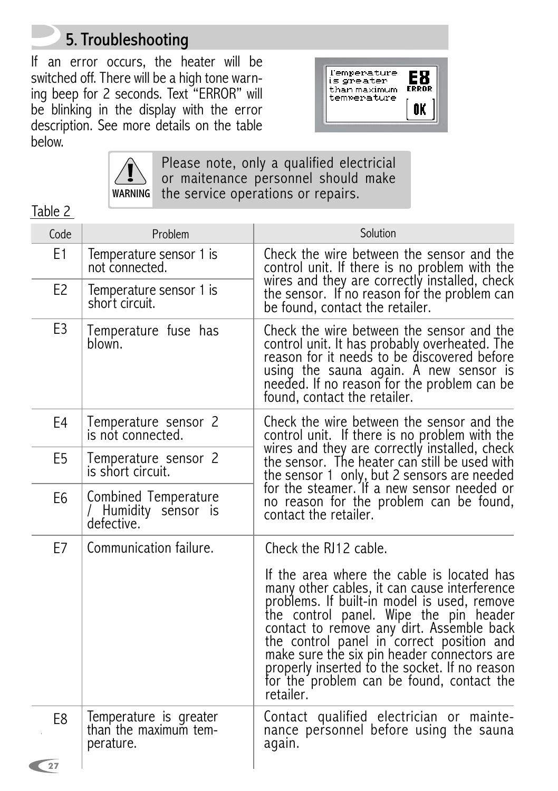## 5. Troubleshooting

If an error occurs, the heater will be switched off. There will be a high tone warning beep for 2 seconds. Text "ERROR" will be blinking in the display with the error description. See more details on the table below.





Please note, only a qualified electricial or maitenance personnel should make the service operations or repairs.

Table 2

| Code           | Problem                                                      | Solution                                                                                                                                                                                                                                                                                                                                                                                                                                |
|----------------|--------------------------------------------------------------|-----------------------------------------------------------------------------------------------------------------------------------------------------------------------------------------------------------------------------------------------------------------------------------------------------------------------------------------------------------------------------------------------------------------------------------------|
| E1             | Temperature sensor 1 is<br>not connected.                    | Check the wire between the sensor and the<br>control unit. If there is no problem with the                                                                                                                                                                                                                                                                                                                                              |
| E <sub>2</sub> | Temperature sensor 1 is<br>short circuit.                    | wires and they are correctly installed, check<br>the sensor. If no reason for the problem can<br>be found, contact the retailer.                                                                                                                                                                                                                                                                                                        |
| E <sub>3</sub> | Temperature fuse has<br>blown.                               | Check the wire between the sensor and the<br>control unit. It has probably overheated. The<br>reason for it needs to be discovered before<br>using the sauna again. A new sensor is<br>needed. If no reason for the problem can be<br>found, contact the retailer.                                                                                                                                                                      |
| E4             | Temperature sensor 2<br>is not connected.                    | Check the wire between the sensor and the<br>control unit. If there is no problem with the                                                                                                                                                                                                                                                                                                                                              |
| E5             | Temperature sensor 2<br>is short circuit.                    | wires and they are correctly installed, check<br>the sensor. The heater can still be used with                                                                                                                                                                                                                                                                                                                                          |
| E6             | Combined Temperature<br>/ Humidity sensor is<br>defective.   | the sensor 1 only, but 2 sensors are needed<br>for the steamer. If a new sensor needed or<br>no reason for the problem can be found,<br>contact the retailer.                                                                                                                                                                                                                                                                           |
| E7             | Communication failure.                                       | Check the RJ12 cable.                                                                                                                                                                                                                                                                                                                                                                                                                   |
|                |                                                              | If the area where the cable is located has<br>many other cables, it can cause interference<br>problems. If built-in model is used, remove<br>the control panel. Wipe the pin header<br>contact to remove any dirt. Assemble back<br>the control panel in correct position and<br>make sure the six pin header connectors are<br>properly inserted to the socket. If no reason<br>for the problem can be found, contact the<br>retailer. |
| E8<br>27       | Temperature is greater<br>than the maximum tem-<br>perature. | Contact qualified electrician or mainte-<br>nance personnel before using the sauna<br>again.                                                                                                                                                                                                                                                                                                                                            |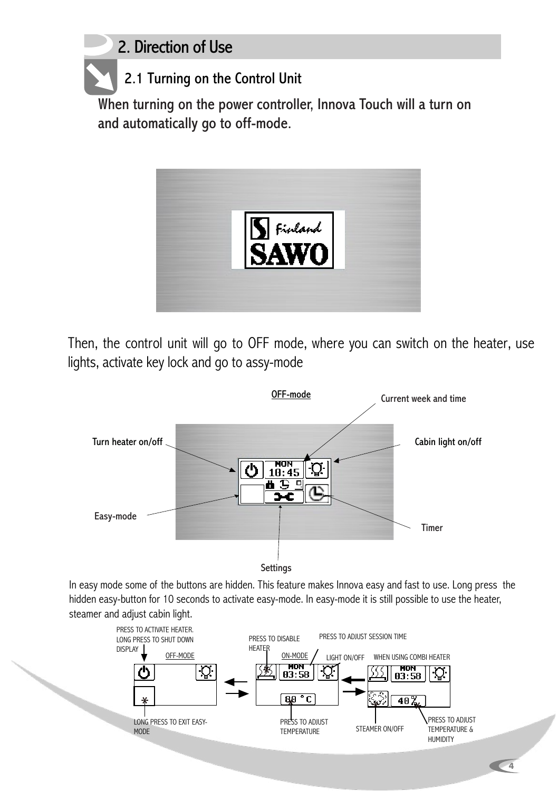## 2. Direction of Use

2.1 Turning on the Control Unit

When turning on the power controller, Innova Touch will a turn on and automatically go to off-mode.



Then, the control unit will go to OFF mode, where you can switch on the heater, use lights, activate key lock and go to assy-mode



In easy mode some of the buttons are hidden. This feature makes Innova easy and fast to use. Long press the hidden easy-button for 10 seconds to activate easy-mode. In easy-mode it is still possible to use the heater, steamer and adjust cabin light.

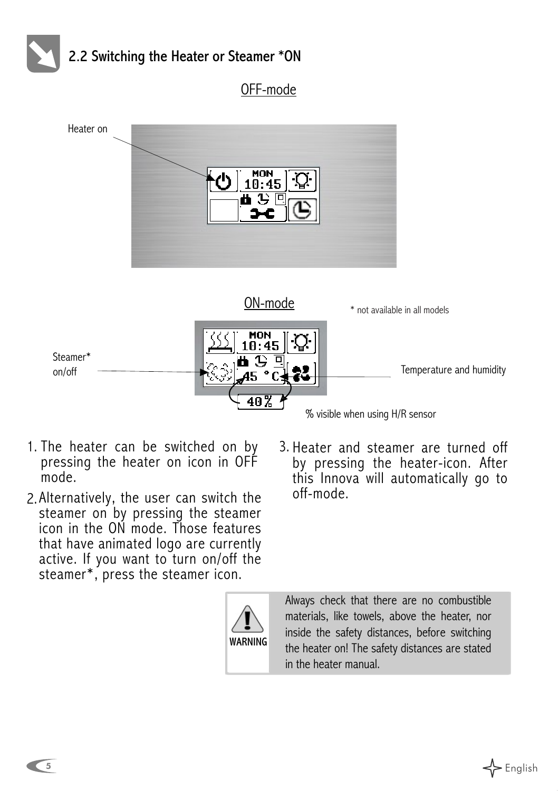

OFF-mode



WARNING

- 1. The heater can be switched on by pressing the heater on icon in OFF mode.
- 2.Alternatively, the user can switch the off-mode. steamer on by pressing the steamer icon in the ON mode. Those features that have animated logo are currently active. If you want to turn on/off the steamer\*, press the steamer icon.
- 3. Heater and steamer are turned off by pressing the heater-icon. After this Innova will automatically go to<br>off-mode

Always check that there are no combustible materials, like towels, above the heater, nor inside the safety distances, before switching the heater on! The safety distances are stated in the heater manual.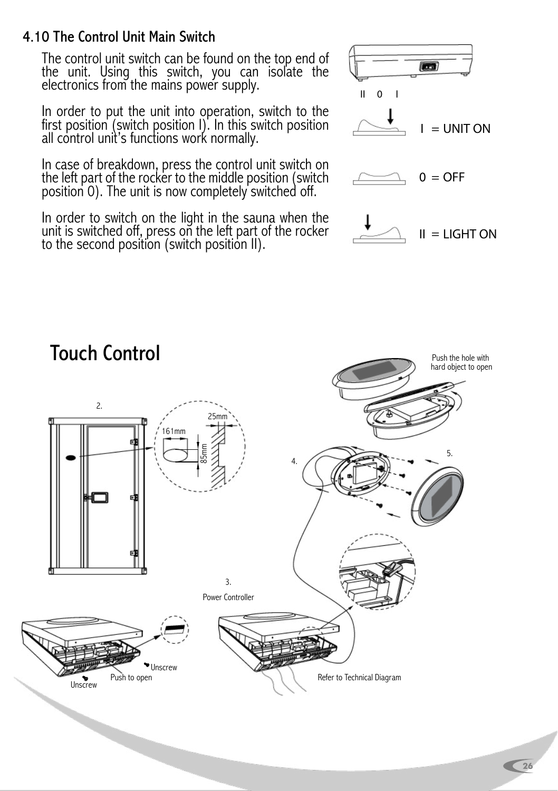#### 4.10 The Control Unit Main Switch

The control unit switch can be found on the top end of the unit. Using this switch, you can isolate the electronics from the mains power supply.

In order to put the unit into operation, switch to the first position (switch position I). In this switch position all control unit's functions work normally.

In case of breakdown, press the control unit switch on the left part of the rocker to the middle position (switch position 0). The unit is now completely switched off.

In order to switch on the light in the sauna when the unit is switched off, press on the left part of the rocker to the second position (switch position II).





## Touch Control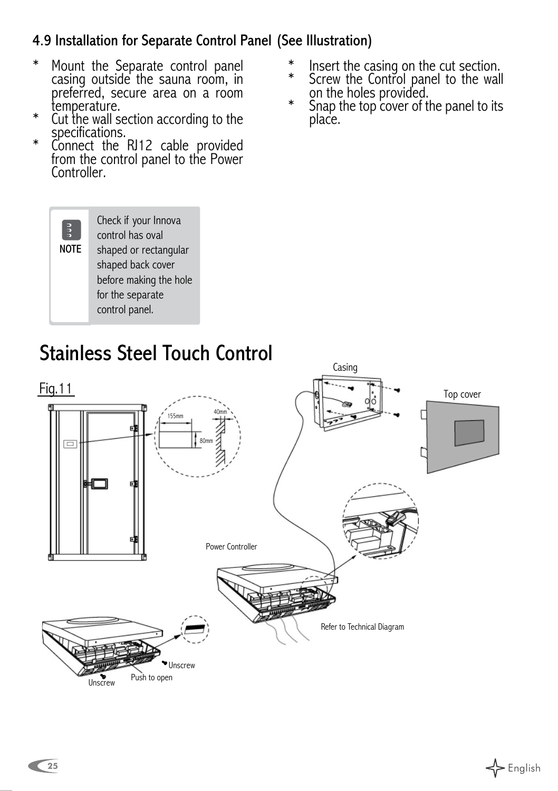#### 4.9 Installation for Separate Control Panel (See IIlustration)

- Mount the Separate control panel casing outside the sauna room, in preferred, secure area on a room temperature. \*
- Cut the wall section according to the specifications. \*
- Connect the RI12 cable provided from the control panel to the Power Controller. \*

Check if your Innova control has oval shaped or rectangular shaped back cover before making the hole for the separate control panel.

NOTE

 $\left| \frac{3}{2} \right|$ 

- Insert the casing on the cut section. \*
- Screw the Control panel to the wall on the holes provided. \* \*
- Snap the top cover of the panel to its place.

# Stainless Steel Touch Control

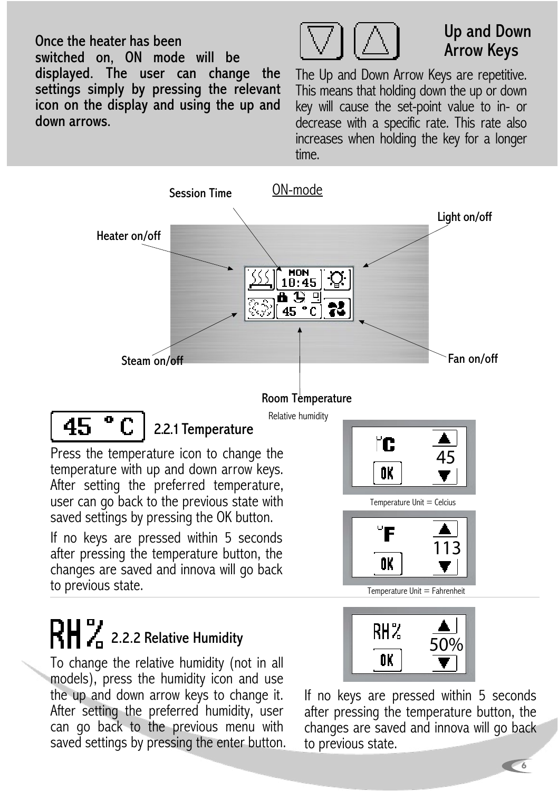Once the heater has been switched on, ON mode will be displayed. The user can change the settings simply by pressing the relevant icon on the display and using the up and down arrows.



## Up and Down Arrow Keys

The Up and Down Arrow Keys are repetitive. This means that holding down the up or down key will cause the set-point value to in- or decrease with a specific rate. This rate also increases when holding the key for a longer time.



after pressing the temperature button, the changes are saved and innova will go back to previous state.

# $\mathbf{R} \mathbf{H}$  , 2.2.2 Relative Humidity

To change the relative humidity (not in all models), press the humidity icon and use the up and down arrow keys to change it. After setting the preferred humidity, user can go back to the previous menu with saved settings by pressing the enter button.



Temperature Unit = Fahrenheit

OK.

If no keys are pressed within 5 seconds after pressing the temperature button, the changes are saved and innova will go back to previous state.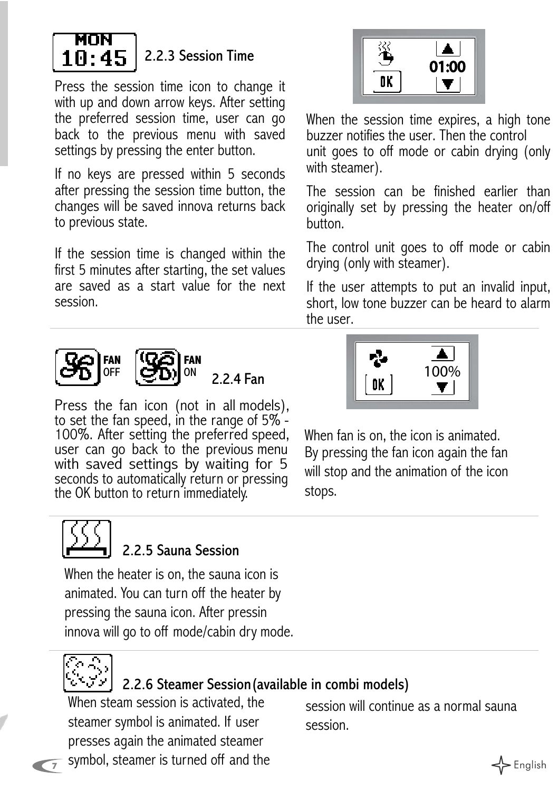

#### 2.2.3 Session Time

Press the session time icon to change it with up and down arrow keys. After setting the preferred session time, user can go back to the previous menu with saved settings by pressing the enter button.

If no keys are pressed within 5 seconds after pressing the session time button, the changes will be saved innova returns back to previous state.

If the session time is changed within the first 5 minutes after starting, the set values are saved as a start value for the next session.





2.2.4 Fan

Press the fan icon (not in all models), to set the fan speed, in the range of 5% - 100%. After setting the preferred speed, user can go back to the previous menu with saved settings by waiting for 5 seconds to automatically return or pressing the OK button to return immediately.



When the session time expires, a high tone buzzer notifies the user. Then the control unit goes to off mode or cabin drying (only with steamer).

The session can be finished earlier than originally set by pressing the heater on/off button.

The control unit goes to off mode or cabin drying (only with steamer).

If the user attempts to put an invalid input, short, low tone buzzer can be heard to alarm the user.



When fan is on, the icon is animated. By pressing the fan icon again the fan will stop and the animation of the icon stops.



#### 2.2.5 Sauna Session

When the heater is on, the sauna icon is animated. You can turn off the heater by pressing the sauna icon. After pressin innova will go to off mode/cabin dry mode.



#### 2.2.6 Steamer Session(available in combi models)

 $\frac{1}{7}$  symbol, steamer is turned off and the  $\leftarrow$  English When steam session is activated, the steamer symbol is animated. If user presses again the animated steamer

session will continue as a normal sauna session.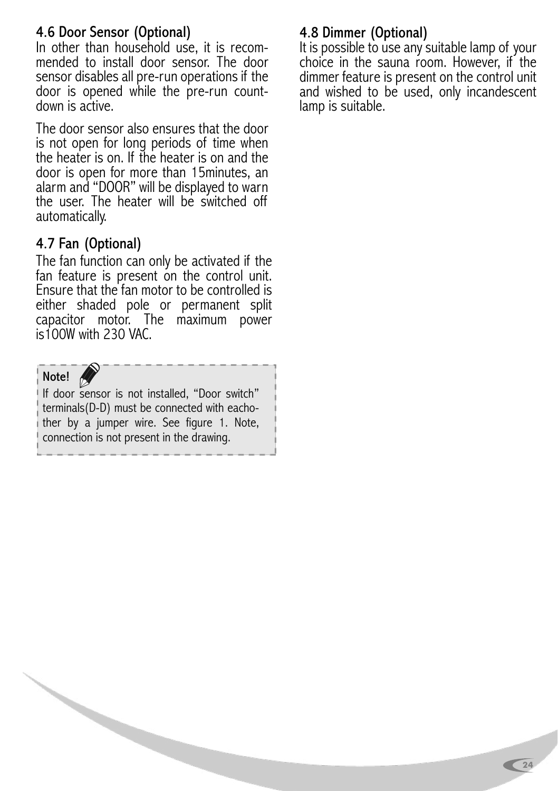#### 4.6 Door Sensor (Optional)

In other than household use, it is recom- mended to install door sensor. The door sensor disables all pre-run operations if the door is opened while the pre-run count- down is active.

The door sensor also ensures that the door is not open for long periods of time when the heater is on. If the heater is on and the door is open for more than 15minutes, an alarm and "DOOR" will be displayed to warn the user. The heater will be switched off automatically.

#### 4.7 Fan (Optional)

The fan function can only be activated if the fan feature is present on the control unit. Ensure that the fan motor to be controlled is either shaded pole or permanent split capacitor motor. The maximum power is100W with 230 VAC.

#### Note!

If door sensor is not installed, "Door switch" terminals(D-D) must be connected with eachother by a jumper wire. See figure 1. Note, connection is not present in the drawing.

#### 4.8 Dimmer (Optional)

It is possible to use any suitable lamp of your choice in the sauna room. However, if the dimmer feature is present on the control unit and wished to be used, only incandescent lamp is suitable.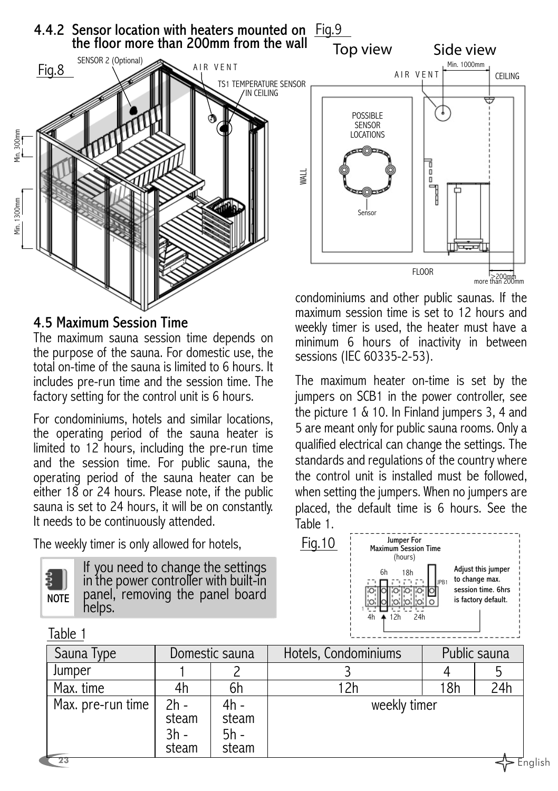

#### 4.5 Maximum Session Time

The maximum sauna session time depends on the purpose of the sauna. For domestic use, the total on-time of the sauna is limited to 6 hours. It includes pre-run time and the session time. The factory setting for the control unit is 6 hours.

For condominiums, hotels and similar locations, the operating period of the sauna heater is limited to 12 hours, including the pre-run time and the session time. For public sauna, the operating period of the sauna heater can be either 18 or 24 hours. Please note, if the public sauna is set to 24 hours, it will be on constantly. It needs to be continuously attended.

The weekly timer is only allowed for hotels,

| J | ЮT<br>É |  |
|---|---------|--|

If you need to change the settings in the power controller with built-in panel, removing the panel board helps.

#### Table 1



condominiums and other public saunas. If the maximum session time is set to 12 hours and weekly timer is used, the heater must have a minimum 6 hours of inactivity in between sessions (IEC 60335-2-53).

The maximum heater on-time is set by the jumpers on SCB1 in the power controller, see the picture 1 & 10. In Finland jumpers 3, 4 and 5 are meant only for public sauna rooms. Only a qualified electrical can change the settings. The standards and regulations of the country where the control unit is installed must be followed, when setting the jumpers. When no jumpers are placed, the default time is 6 hours. See the Table 1.



| Sauna Type        | Domestic sauna                   |                                | Hotels, Condominiums | Public sauna |     |
|-------------------|----------------------------------|--------------------------------|----------------------|--------------|-----|
| Jumper            |                                  |                                |                      |              |     |
| Max. time         | 4h                               | 6h                             |                      | 18h          | 24h |
| Max. pre-run time | $2h -$<br>steam<br>3h -<br>steam | 4h -<br>steam<br>5h -<br>steam | weekly timer         |              |     |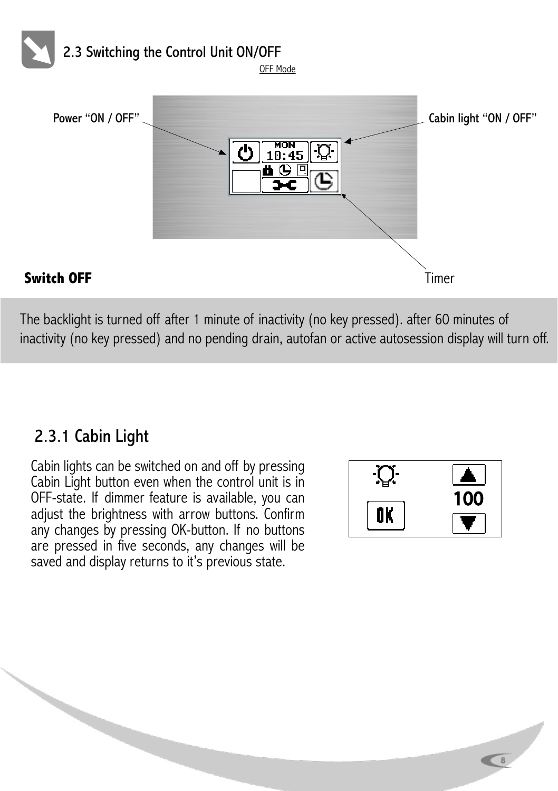

#### **Switch OFF** Timer

The backlight is turned off after 1 minute of inactivity (no key pressed). after 60 minutes of inactivity (no key pressed) and no pending drain, autofan or active autosession display will turn off.

## 2.3.1 Cabin Light

Cabin lights can be switched on and off by pressing Cabin Light button even when the control unit is in OFF-state. If dimmer feature is available, you can adjust the brightness with arrow buttons. Confirm any changes by pressing OK-button. If no buttons are pressed in five seconds, any changes will be saved and display returns to it's previous state.



 $\overline{\phantom{a}}$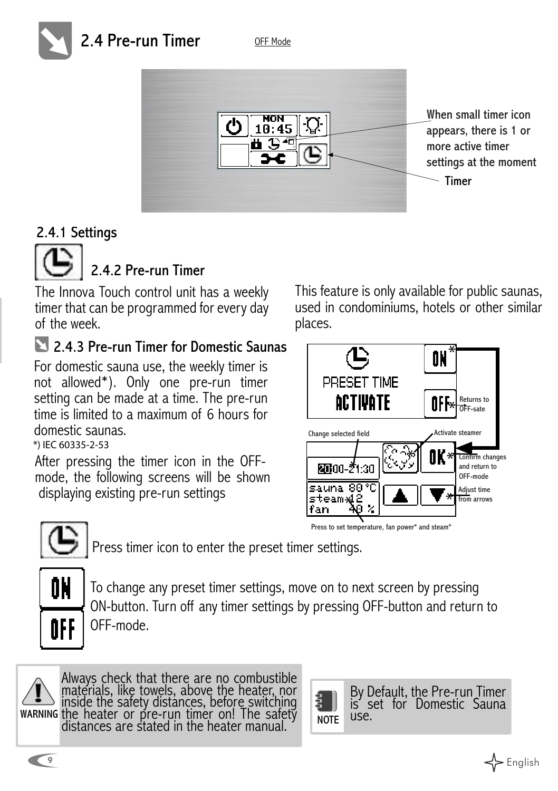## 2.4 Pre-run Timer

OFF Mode



When small timer icon appears, there is 1 or more active timer settings at the moment

### 2.4.1 Settings



## 2.4.2 Pre-run Timer

The Innova Touch control unit has a weekly timer that can be programmed for every day of the week.

## 2.4.3 Pre-run Timer for Domestic Saunas

For domestic sauna use, the weekly timer is not allowed\*). Only one pre-run timer setting can be made at a time. The pre-run time is limited to a maximum of 6 hours for domestic saunas.

*\*) IEC 60335-2-53*

After pressing the timer icon in the OFFmode, the following screens will be shown displaying existing pre-run settings

This feature is only available for public saunas, used in condominiums, hotels or other similar places.





Press timer icon to enter the preset timer settings.



To change any preset timer settings, move on to next screen by pressing ON-button. Turn off any timer settings by pressing OFF-button and return to OFF-mode.



 $\sum$  inside the safety distances, before switching warning the heater or pre-run timer on! The safety Always check that there are no combustible materials, like towels, above the heater, nor the heater or pre-run timer on! The safety distances are stated in the heater manual.

**NOTE** 

By Default, the Pre-run Timer is' set for Domestic Sauna<br>use.

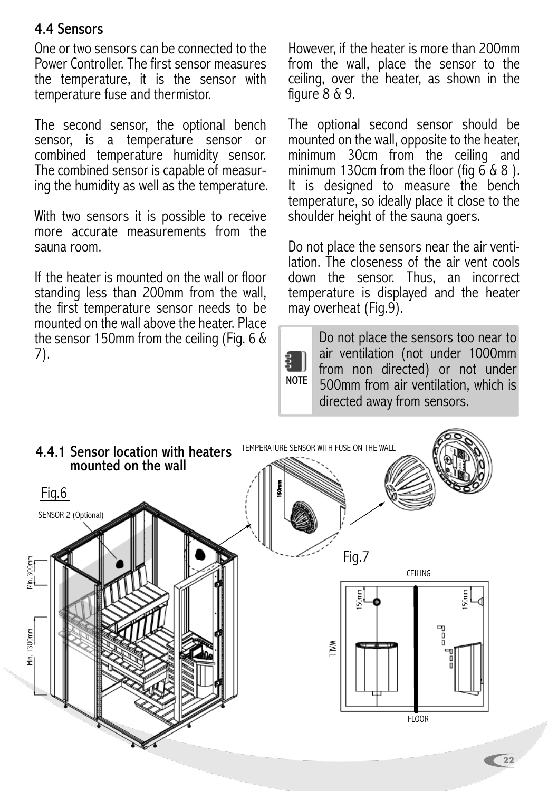#### 4.4 Sensors

One or two sensors can be connected to the Power Controller. The first sensor measures the temperature, it is the sensor with temperature fuse and thermistor.

The second sensor, the optional bench sensor, is a temperature sensor or combined temperature humidity sensor.<br>The combined sensor is capable of measuring the humidity as well as the temperature.

With two sensors it is possible to receive more accurate measurements from the sauna room.

If the heater is mounted on the wall or floor standing less than 200mm from the wall, the first temperature sensor needs to be mounted on the wall above the heater. Place the sensor 150mm from the ceiling (Fig. 6 & 7).

However, if the heater is more than 200mm from the wall, place the sensor to the ceiling, over the heater, as shown in the figure  $8 \& 9$ .

The optional second sensor should be mounted on the wall, opposite to the heater, minimum 30cm from the ceiling and minimum 130cm from the floor (fig  $668$ ). It is designed to measure the bench temperature, so ideally place it close to the shoulder height of the sauna goers.

Do not place the sensors near the air venti- lation. The closeness of the air vent cools down the sensor. Thus, an incorrect temperature is displayed and the heater may overheat (Fig.9).

NOTE Do not place the sensors too near to air ventilation (not under 1000mm from non directed) or not under 500mm from air ventilation, which is directed away from sensors.

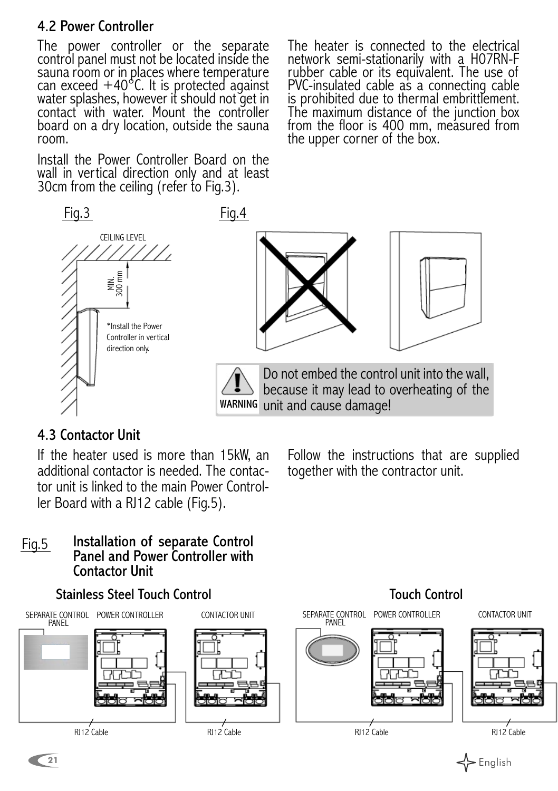#### 4.2 Power Controller

The power controller or the separate control panel must not be located inside the sauna room or in places where temperature can exceed +40°C. It is protected against water splashes, however it should not get in contact with water. Mount the controller board on a dry location, outside the sauna room.

Install the Power Controller Board on the wall in vertical direction only and at least 30cm from the ceiling (refer to Fig.3).

The heater is connected to the electrical network semi-stationarily with a H07RN-F rubber cable or its equivalent. The use of PVC-insulated cable as a connecting cable is prohibited due to thermal embrittlement. The maximum distance of the junction box from the floor is 400 mm, measured from the upper corner of the box.



#### 4.3 Contactor Unit

If the heater used is more than 15kW, an additional contactor is needed. The contactor unit is linked to the main Power Controller Board with a RJ12 cable (Fig.5).

Follow the instructions that are supplied together with the contractor unit.

#### Installation of separate Control Panel and Power Controller with Contactor Unit Fig.5



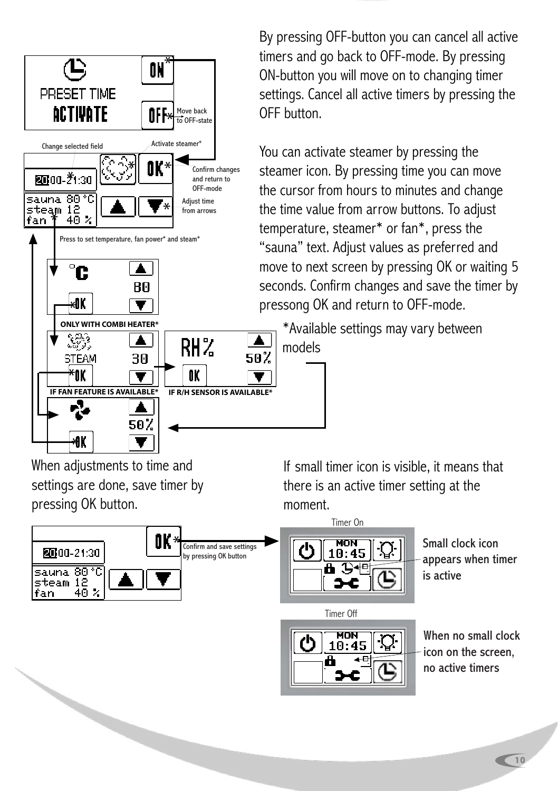

By pressing OFF-button you can cancel all active timers and go back to OFF-mode. By pressing ON-button you will move on to changing timer settings. Cancel all active timers by pressing the OFF button.

You can activate steamer by pressing the steamer icon. By pressing time you can move the cursor from hours to minutes and change the time value from arrow buttons. To adjust temperature, steamer\* or fan\*, press the "sauna" text. Adjust values as preferred and move to next screen by pressing OK or waiting 5 seconds. Confirm changes and save the timer by pressong OK and return to OFF-mode.

\*Available settings may vary between models

When adjustments to time and settings are done, save timer by pressing OK button.



If small timer icon is visible, it means that there is an active timer setting at the moment.



Timer Off

Small clock icon appears when timer is active

 $\frac{MON}{10:45}$ 

When no small clock icon on the screen, no active timers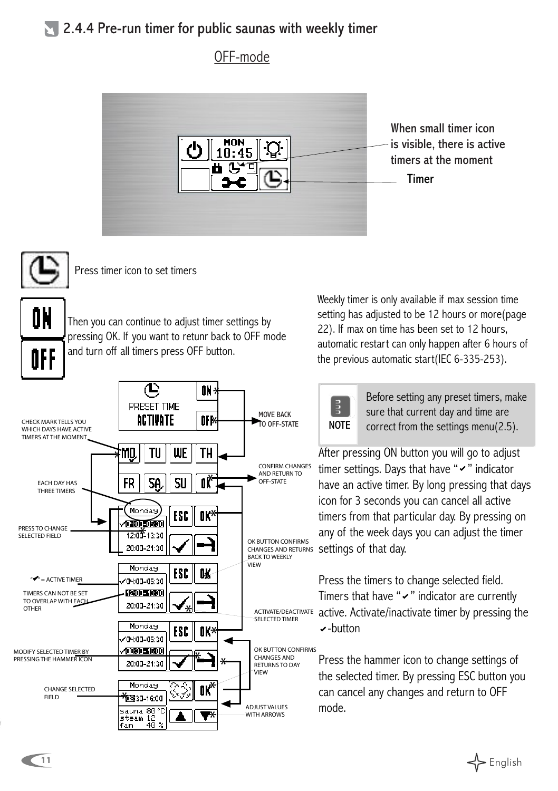#### $\geq$  2.4.4 Pre-run timer for public saunas with weekly timer

#### OFF-mode





Press timer icon to set timers

0K ÔFF

Then you can continue to adjust timer settings by pressing OK. If you want to retunr back to OFF mode and turn off all timers press OFF button.



Weekly timer is only available if max session time setting has adjusted to be 12 hours or more(page 22). If max on time has been set to 12 hours, automatic restart can only happen after 6 hours of the previous automatic start(IEC 6-335-253).



Before setting any preset timers, make sure that current day and time are correct from the settings menu(2.5).

After pressing ON button you will go to adjust timer settings. Days that have " $\sim$ " indicator have an active timer. By long pressing that days icon for 3 seconds you can cancel all active timers from that particular day. By pressing on any of the week days you can adjust the timer settings of that day.

Press the timers to change selected field. Timers that have " $\checkmark$ " indicator are currently active. Activate/inactivate timer by pressing the -button

Press the hammer icon to change settings of the selected timer. By pressing ESC button you can cancel any changes and return to OFF mode.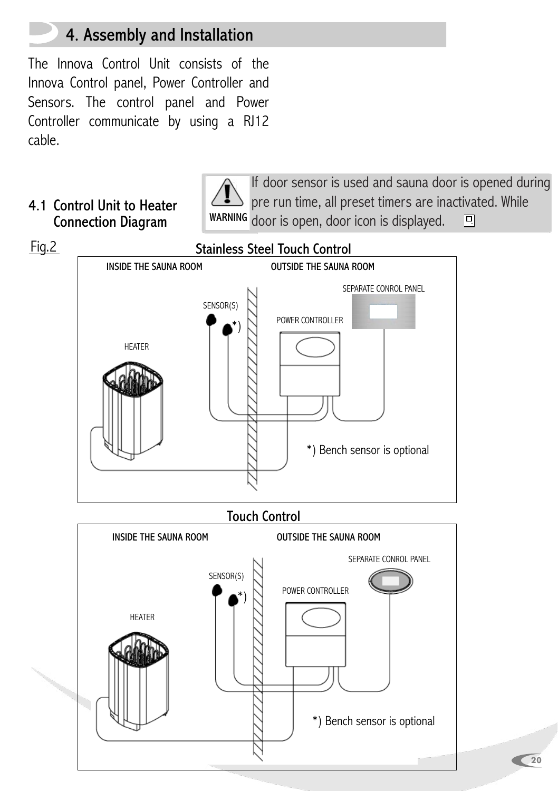## 4. Assembly and Installation

The Innova Control Unit consists of the Innova Control panel, Power Controller and Sensors. The control panel and Power Controller communicate by using a RJ12 cable.

#### 4.1 Control Unit to Heater Connection Diagram

If door sensor is used and sauna door is opened during pre run time, all preset timers are inactivated. While wARNING door is open, door icon is displayed. 回

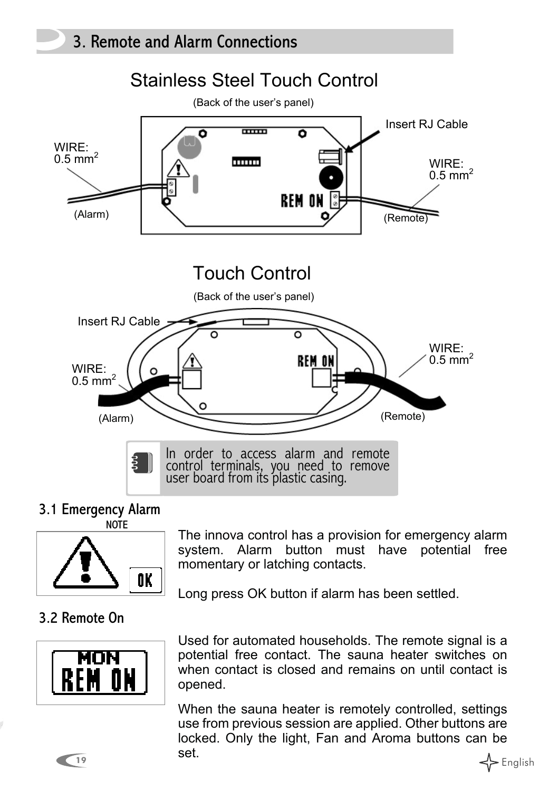

#### 3.1 Emergency Alarm **NOTE**



The innova control has a provision for emergency alarm system. Alarm button must have potential free momentary or latching contacts.

Long press OK button if alarm has been settled.

#### 3.2 Remote On



Used for automated households. The remote signal is a potential free contact. The sauna heater switches on when contact is closed and remains on until contact is opened.

19 **19** English When the sauna heater is remotely controlled, settings use from previous session are applied. Other buttons are locked. Only the light, Fan and Aroma buttons can be set.

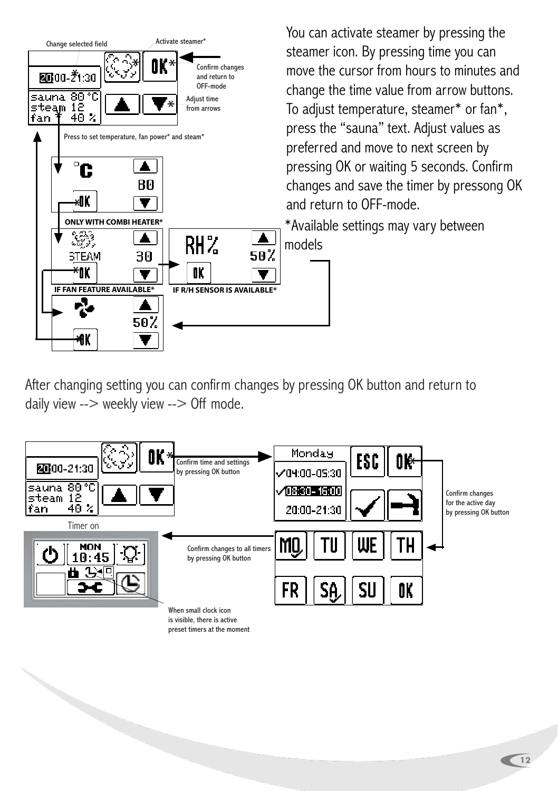

You can activate steamer by pressing the steamer icon. By pressing time you can move the cursor from hours to minutes and change the time value from arrow buttons. To adjust temperature, steamer\* or fan\*, press the "sauna" text. Adjust values as preferred and move to next screen by pressing OK or waiting 5 seconds. Confirm changes and save the timer by pressong OK and return to OFF-mode.

\*Available settings may vary between models

After changing setting you can confirm changes by pressing OK button and return to daily view --> weekly view --> Off mode.



is visible, there is active preset timers at the moment

a de la calabridad de la calabridad de la calabridad de la calabridad de la calabridad de la calabridad de la calabridad de la calabridad de la calabridad de la calabridad de la calabridad de la calabridad de la calabridad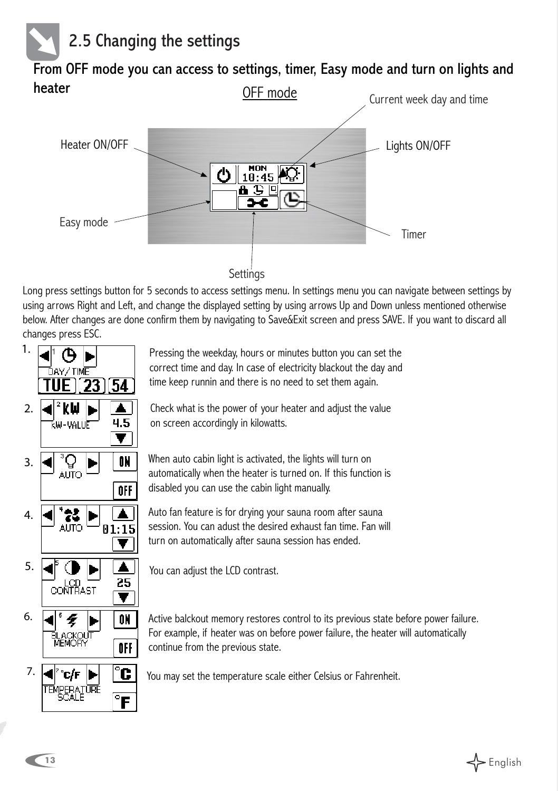

OFF mode From OFF mode you can access to settings, timer, Easy mode and turn on lights and heater



Long press settings button for 5 seconds to access settings menu. In settings menu you can navigate between settings by using arrows Right and Left, and change the displayed setting by using arrows Up and Down unless mentioned otherwise below. After changes are done confirm them by navigating to Save&Exit screen and press SAVE. If you want to discard all changes press ESC.

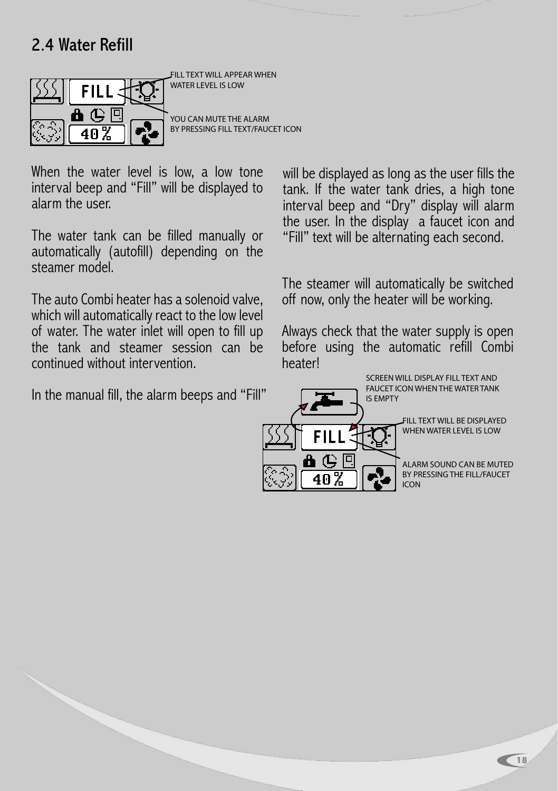## 2.4 Water Refill



FILL TEXT WILL APPEAR WHEN WATER LEVEL IS LOW

YOU CAN MUTE THE ALARM BY PRESSING FILL TEXT/FAUCET ICON

When the water level is low, a low tone interval beep and "Fill" will be displayed to alarm the user.

The water tank can be filled manually or automatically (autofill) depending on the steamer model.

The auto Combi heater has a solenoid valve, which will automatically react to the low level of water. The water inlet will open to fill up the tank and steamer session can be continued without intervention.

In the manual fill, the alarm beeps and "Fill"

will be displayed as long as the user fills the tank. If the water tank dries, a high tone interval beep and "Dry" display will alarm the user. In the display a faucet icon and "Fill" text will be alternating each second.

The steamer will automatically be switched off now, only the heater will be working.

Always check that the water supply is open before using the automatic refill Combi heater!

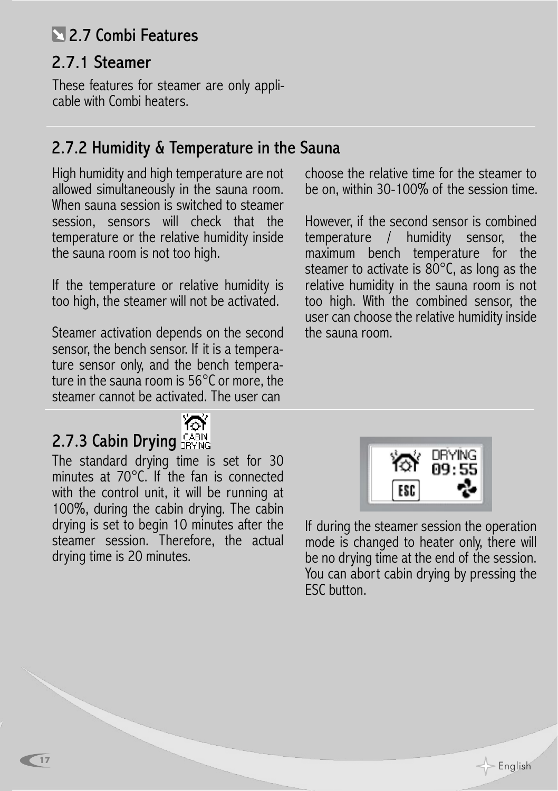## 2.7 Combi Features

## 2.7.1 Steamer

These features for steamer are only applicable with Combi heaters.

## 2.7.2 Humidity & Temperature in the Sauna

High humidity and high temperature are not allowed simultaneously in the sauna room. When sauna session is switched to steamer session, sensors will check that the temperature or the relative humidity inside the sauna room is not too high.

If the temperature or relative humidity is too high, the steamer will not be activated.

Steamer activation depends on the second sensor, the bench sensor. If it is a temperature sensor only, and the bench temperature in the sauna room is 56°C or more, the steamer cannot be activated. The user can



## 2.7.3 Cabin Drying  $G_{\text{BYM}}^{\text{CABIN}}$

**17**

The standard drying time is set for 30 minutes at 70°C. If the fan is connected with the control unit, it will be running at 100%, during the cabin drying. The cabin drying is set to begin 10 minutes after the steamer session. Therefore, the actual drying time is 20 minutes.

choose the relative time for the steamer to be on, within 30-100% of the session time.

However, if the second sensor is combined temperature / humidity sensor, the maximum bench temperature for the steamer to activate is 80°C, as long as the relative humidity in the sauna room is not too high. With the combined sensor, the user can choose the relative humidity inside the sauna room.



If during the steamer session the operation mode is changed to heater only, there will be no drying time at the end of the session. You can abort cabin drying by pressing the ESC button.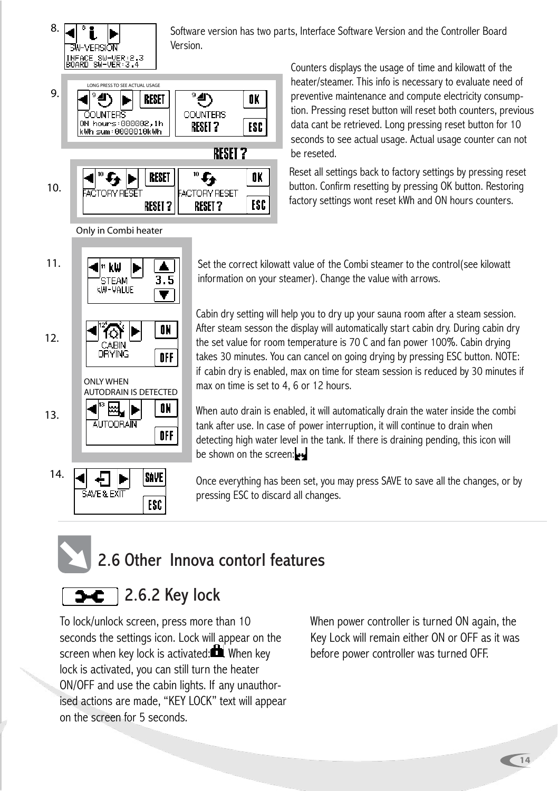

ON

OFF

ON.

OFF

SAVE

ESC

12.

13.

ONLY WHEN

€ SAVE & EXIT

₩ **AUTODRAIN** 

⋒ CABIN DŘÝING

AUTODRAIN IS DETECTED

14.

Counters displays the usage of time and kilowatt of the heater/steamer. This info is necessary to evaluate need of preventive maintenance and compute electricity consump-

tion. Pressing reset button will reset both counters, previous data cant be retrieved. Long pressing reset button for 10 seconds to see actual usage. Actual usage counter can not be reseted.

Reset all settings back to factory settings by pressing reset button. Confirm resetting by pressing OK button. Restoring factory settings wont reset kWh and ON hours counters.

Cabin dry setting will help you to dry up your sauna room after a steam session. After steam sesson the display will automatically start cabin dry. During cabin dry the set value for room temperature is 70 C and fan power 100%. Cabin drying takes 30 minutes. You can cancel on going drying by pressing ESC button. NOTE: if cabin dry is enabled, max on time for steam session is reduced by 30 minutes if max on time is set to 4, 6 or 12 hours.

When auto drain is enabled, it will automatically drain the water inside the combi tank after use. In case of power interruption, it will continue to drain when detecting high water level in the tank. If there is draining pending, this icon will be shown on the screen:

Once everything has been set, you may press SAVE to save all the changes, or by pressing ESC to discard all changes.

# 2.6 Other Innova contorl features

## 2.6.2 Key lock

To lock/unlock screen, press more than 10 seconds the settings icon. Lock will appear on the screen when key lock is activated: $\blacksquare$ . When key lock is activated, you can still turn the heater ON/OFF and use the cabin lights. If any unauthorised actions are made, "KEY LOCK" text will appear on the screen for 5 seconds.

When power controller is turned ON again, the Key Lock will remain either ON or OFF as it was before power controller was turned OFF.